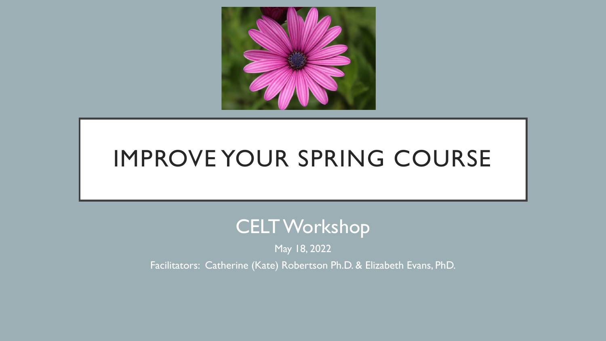

# IMPROVE YOUR SPRING COURSE

## CELT Workshop

May 18, 2022

Facilitators: Catherine (Kate) Robertson Ph.D. & Elizabeth Evans, PhD.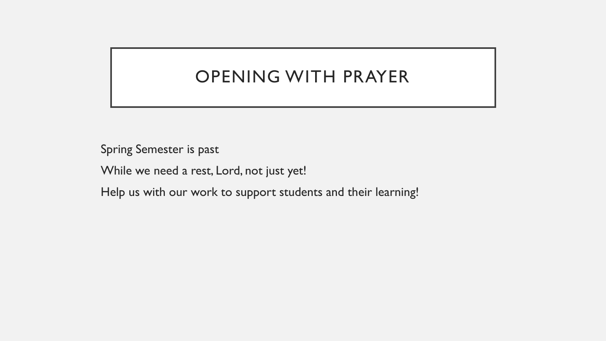### OPENING WITH PRAYER

Spring Semester is past

While we need a rest, Lord, not just yet!

Help us with our work to support students and their learning!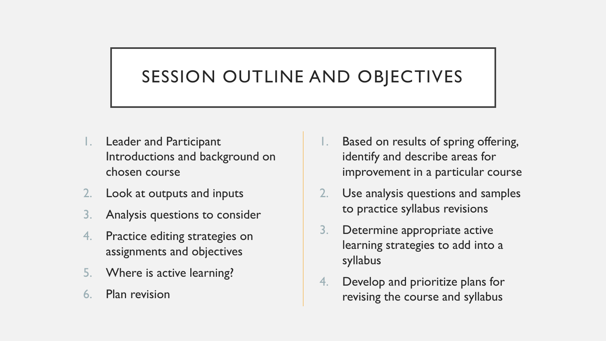### SESSION OUTLINE AND OBJECTIVES

- **Leader and Participant** Introductions and background on chosen course
- 2. Look at outputs and inputs
- Analysis questions to consider
- 4. Practice editing strategies on assignments and objectives
- 5. Where is active learning?
- 6. Plan revision
- Based on results of spring offering, identify and describe areas for improvement in a particular course
- 2. Use analysis questions and samples to practice syllabus revisions
- 3. Determine appropriate active learning strategies to add into a syllabus
- 4. Develop and prioritize plans for revising the course and syllabus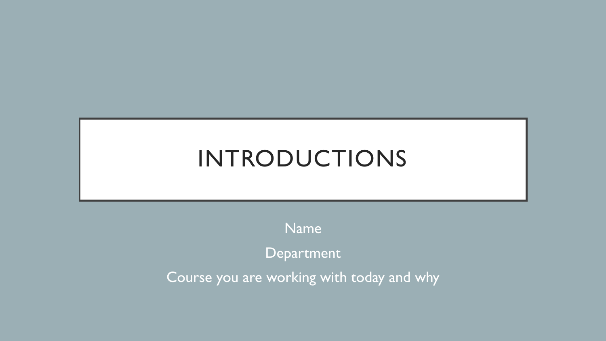# INTRODUCTIONS

Name

Department

Course you are working with today and why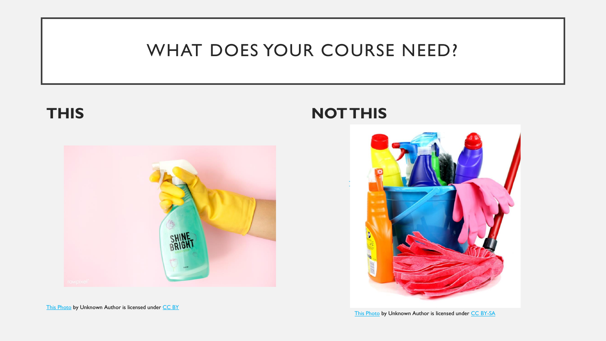### WHAT DOES YOUR COURSE NEED?



[This Photo](http://www.freeimageslive.co.uk/free_stock_image/mop-jpg) by Unknown Author is licensed under [CC BY](https://creativecommons.org/licenses/by/3.0/)

**THIS NOT THIS**



[This Photo](http://creative-commons-images.com/cleaning/cleaning15.html) by Unknown Author is licensed under [CC BY-SA](https://creativecommons.org/licenses/by-sa/3.0/)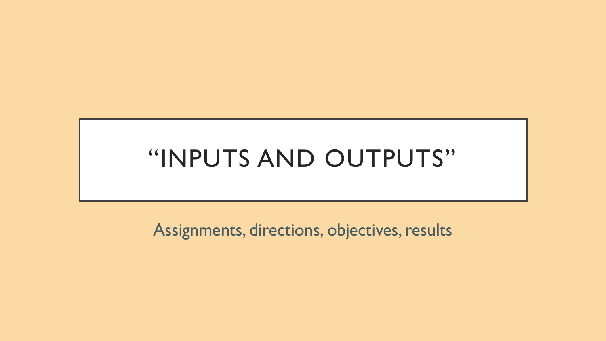# "INPUTS AND OUTPUTS"

Assignments, directions, objectives, results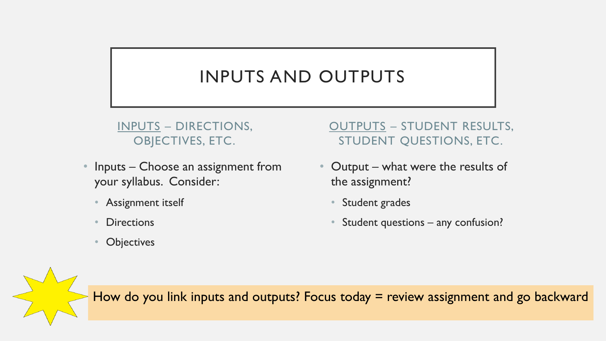### INPUTS AND OUTPUTS

#### INPUTS – DIRECTIONS, OBJECTIVES, ETC.

- Inputs Choose an assignment from your syllabus. Consider:
	- Assignment itself
	- **Directions**
	- **Objectives**

#### OUTPUTS – STUDENT RESULTS, STUDENT QUESTIONS, ETC.

- Output what were the results of the assignment?
	- Student grades
	- Student questions any confusion?

How do you link inputs and outputs? Focus today = review assignment and go backward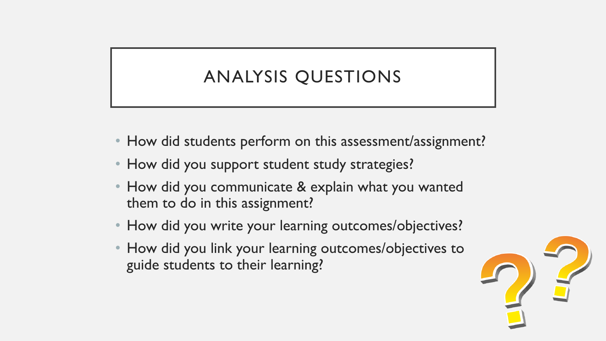## ANALYSIS QUESTIONS

- How did students perform on this assessment/assignment?
- How did you support student study strategies?
- How did you communicate & explain what you wanted them to do in this assignment?
- How did you write your learning outcomes/objectives?
- How did you link your learning outcomes/objectives to guide students to their learning?

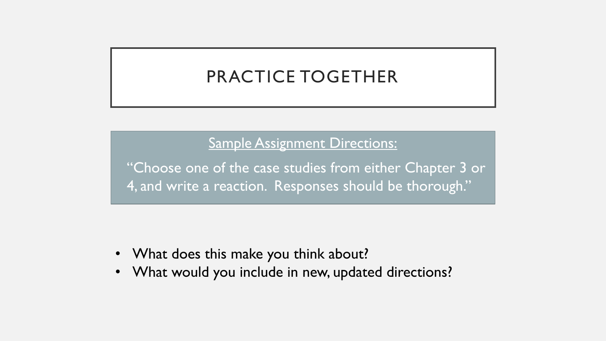### PRACTICE TOGETHER

### Sample Assignment Directions:

• "Choose one of the case studies from either Chapter 3 or 4, and write a reaction. Responses should be thorough."

- What does this make you think about?
- What would you include in new, updated directions?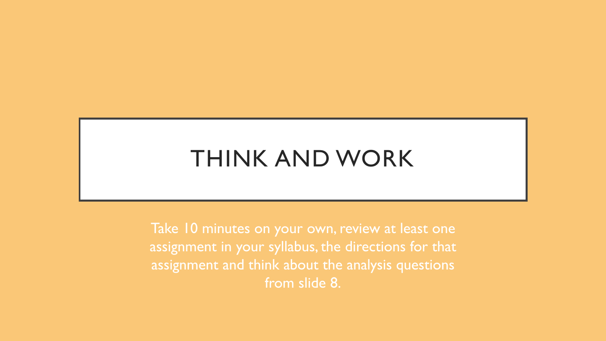## THINK AND WORK

Take 10 minutes on your own, review at least one assignment in your syllabus, the directions for that assignment and think about the analysis questions from slide 8.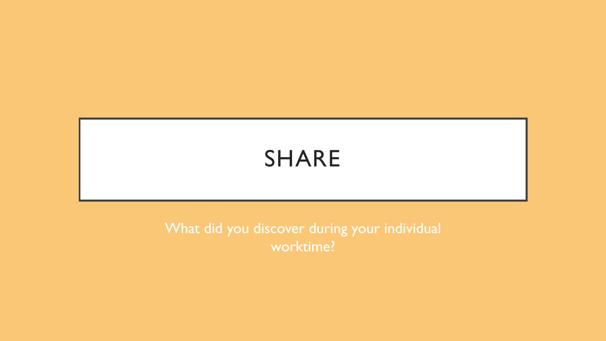## SHARE

What did you discover during your individual worktime?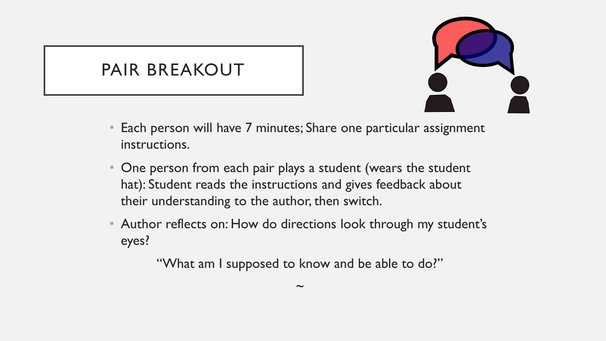### PAIR BREAKOUT



- Each person will have 7 minutes; Share one particular assignment instructions.
- One person from each pair plays a student (wears the student hat): Student reads the instructions and gives feedback about their understanding to the author, then switch.
- Author reflects on: How do directions look through my student's eyes?

"What am I supposed to know and be able to do?"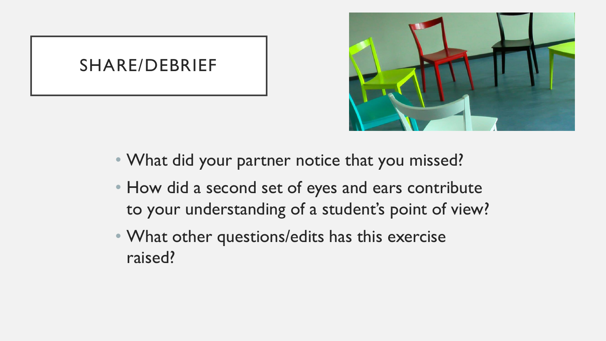### SHARE/DEBRIEF



- What did your partner notice that you missed?
- How did a second set of eyes and ears contribute to your understanding of a student's point of view?
- What other questions/edits has this exercise raised?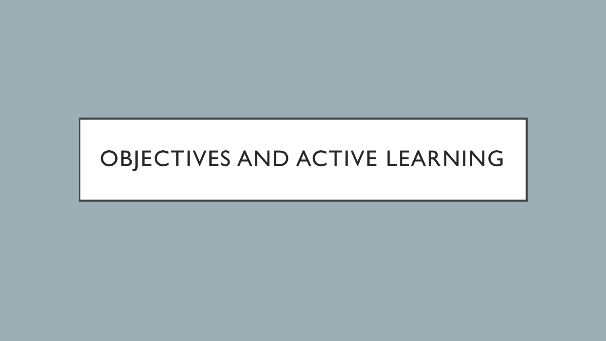# OBJECTIVES AND ACTIVE LEARNING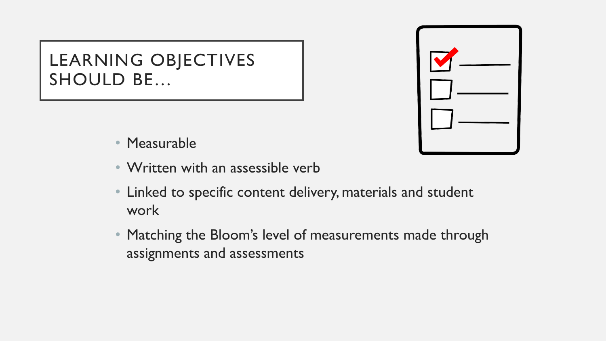### LEARNING OBJECTIVES SHOULD BE…



- Measurable
- Written with an assessible verb
- Linked to specific content delivery, materials and student work
- Matching the Bloom's level of measurements made through assignments and assessments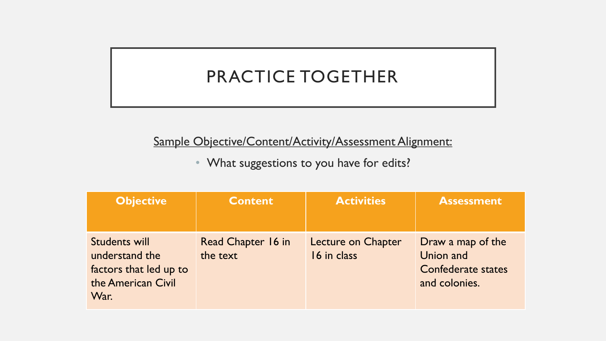### PRACTICE TOGETHER

#### Sample Objective/Content/Activity/Assessment Alignment:

• What suggestions to you have for edits?

| <b>Objective</b>                                                                        | <b>Content</b>                 | <b>Activities</b>                 | <b>Assessment</b>                                                            |
|-----------------------------------------------------------------------------------------|--------------------------------|-----------------------------------|------------------------------------------------------------------------------|
| Students will<br>understand the<br>factors that led up to<br>the American Civil<br>War. | Read Chapter 16 in<br>the text | Lecture on Chapter<br>16 in class | Draw a map of the<br>Union and<br><b>Confederate states</b><br>and colonies. |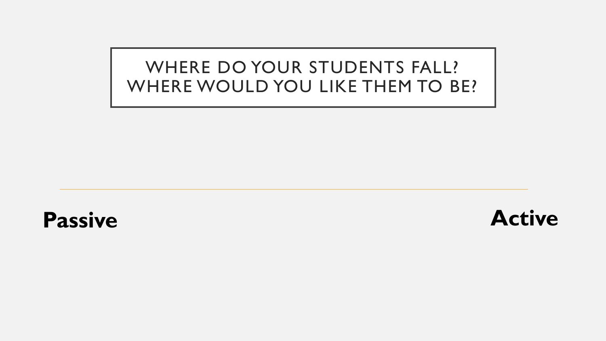### WHERE DO YOUR STUDENTS FALL? WHERE WOULD YOU LIKE THEM TO BE?



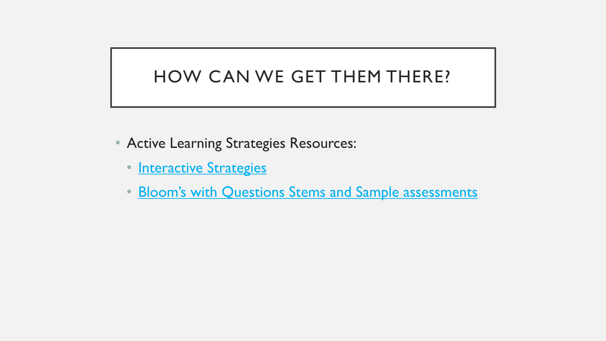### HOW CAN WE GET THEM THERE?

- Active Learning Strategies Resources:
	- [Interactive Strategies](https://studentcuw-my.sharepoint.com/:b:/g/personal/catherine_robertson_cuw_edu/EeBKz8kM1GFMovs06eS17PMBNEVY-LsR5Q4_iCYe8yt5oA?e=HgIowW)
	- [Bloom's with Questions Stems and Sample assessments](https://studentcuw-my.sharepoint.com/:b:/g/personal/catherine_robertson_cuw_edu/EdFyR9mkZNhHkAVHLmd9fL0BbI0LT-sGoBpandyf9gSDog?e=OSwlKJ)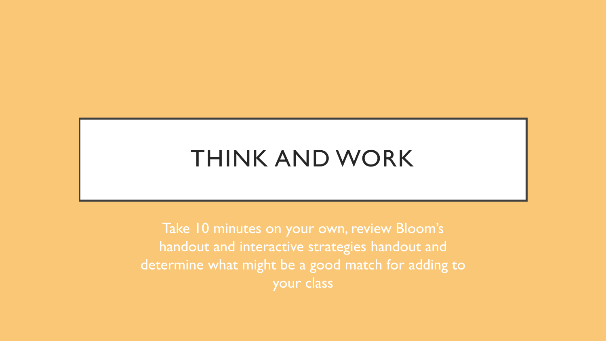## THINK AND WORK

Take 10 minutes on your own, review Bloom's handout and interactive strategies handout and determine what might be a good match for adding to your class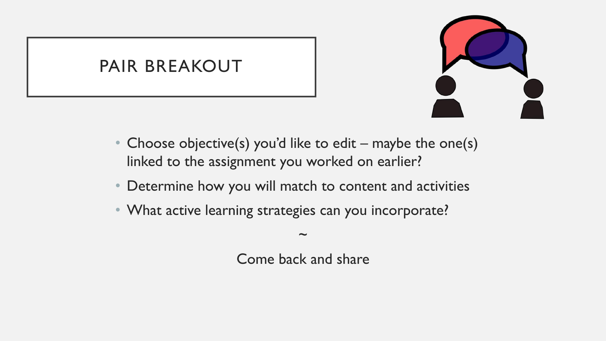### PAIR BREAKOUT



- Choose objective(s) you'd like to edit maybe the one(s) linked to the assignment you worked on earlier?
- Determine how you will match to content and activities
- What active learning strategies can you incorporate?

Come back and share

~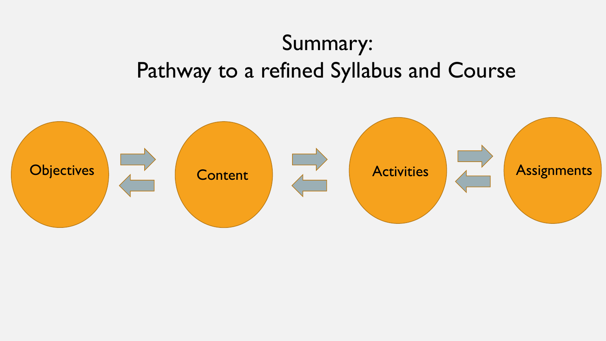# Summary: Pathway to a refined Syllabus and Course